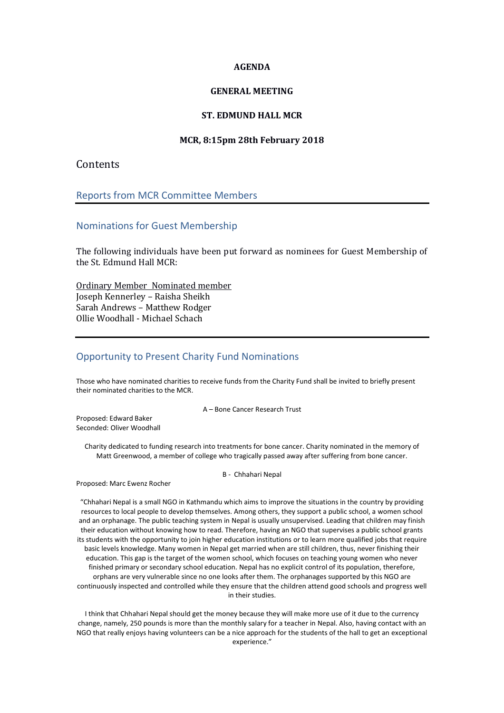### **AGENDA**

## **GENERAL MEETING**

## **ST. EDMUND HALL MCR**

### **MCR, 8:15pm 28th February 2018**

# **Contents**

## Reports from MCR Committee Members

### Nominations for Guest Membership

The following individuals have been put forward as nominees for Guest Membership of the St. Edmund Hall MCR:

Ordinary Member Nominated member Joseph Kennerley – Raisha Sheikh Sarah Andrews – Matthew Rodger Ollie Woodhall - Michael Schach

# Opportunity to Present Charity Fund Nominations

Those who have nominated charities to receive funds from the Charity Fund shall be invited to briefly present their nominated charities to the MCR.

A – Bone Cancer Research Trust

Proposed: Edward Baker Seconded: Oliver Woodhall

> Charity dedicated to funding research into treatments for bone cancer. Charity nominated in the memory of Matt Greenwood, a member of college who tragically passed away after suffering from bone cancer.

#### B - Chhahari Nepal

Proposed: Marc Ewenz Rocher

"Chhahari Nepal is a small NGO in Kathmandu which aims to improve the situations in the country by providing resources to local people to develop themselves. Among others, they support a public school, a women school and an orphanage. The public teaching system in Nepal is usually unsupervised. Leading that children may finish their education without knowing how to read. Therefore, having an NGO that supervises a public school grants its students with the opportunity to join higher education institutions or to learn more qualified jobs that require basic levels knowledge. Many women in Nepal get married when are still children, thus, never finishing their education. This gap is the target of the women school, which focuses on teaching young women who never finished primary or secondary school education. Nepal has no explicit control of its population, therefore, orphans are very vulnerable since no one looks after them. The orphanages supported by this NGO are continuously inspected and controlled while they ensure that the children attend good schools and progress well in their studies.

I think that Chhahari Nepal should get the money because they will make more use of it due to the currency change, namely, 250 pounds is more than the monthly salary for a teacher in Nepal. Also, having contact with an NGO that really enjoys having volunteers can be a nice approach for the students of the hall to get an exceptional experience."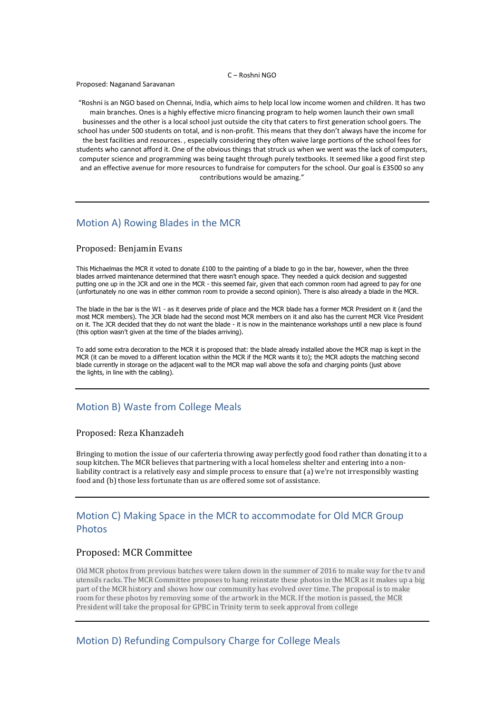#### C – Roshni NGO

Proposed: Naganand Saravanan

"Roshni is an NGO based on Chennai, India, which aims to help local low income women and children. It has two main branches. Ones is a highly effective micro financing program to help women launch their own small businesses and the other is a local school just outside the city that caters to first generation school goers. The school has under 500 students on total, and is non-profit. This means that they don't always have the income for the best facilities and resources. , especially considering they often waive large portions of the school fees for students who cannot afford it. One of the obvious things that struck us when we went was the lack of computers, computer science and programming was being taught through purely textbooks. It seemed like a good first step and an effective avenue for more resources to fundraise for computers for the school. Our goal is £3500 so any contributions would be amazing."

## Motion A) Rowing Blades in the MCR

### Proposed: Benjamin Evans

This Michaelmas the MCR it voted to donate £100 to the painting of a blade to go in the bar, however, when the three blades arrived maintenance determined that there wasn't enough space. They needed a quick decision and suggested putting one up in the JCR and one in the MCR - this seemed fair, given that each common room had agreed to pay for one (unfortunately no one was in either common room to provide a second opinion). There is also already a blade in the MCR.

The blade in the bar is the W1 - as it deserves pride of place and the MCR blade has a former MCR President on it (and the most MCR members). The JCR blade had the second most MCR members on it and also has the current MCR Vice President on it. The JCR decided that they do not want the blade - it is now in the maintenance workshops until a new place is found (this option wasn't given at the time of the blades arriving).

To add some extra decoration to the MCR it is proposed that: the blade already installed above the MCR map is kept in the MCR (it can be moved to a different location within the MCR if the MCR wants it to); the MCR adopts the matching second blade currently in storage on the adjacent wall to the MCR map wall above the sofa and charging points (just above the lights, in line with the cabling).

## Motion B) Waste from College Meals

### Proposed: Reza Khanzadeh

Bringing to motion the issue of our caferteria throwing away perfectly good food rather than donating it to a soup kitchen. The MCR believes that partnering with a local homeless shelter and entering into a nonliability contract is a relatively easy and simple process to ensure that (a) we're not irresponsibly wasting food and (b) those less fortunate than us are offered some sot of assistance.

# Motion C) Making Space in the MCR to accommodate for Old MCR Group **Photos**

### Proposed: MCR Committee

Old MCR photos from previous batches were taken down in the summer of 2016 to make way for the tv and utensils racks. The MCR Committee proposes to hang reinstate these photos in the MCR as it makes up a big part of the MCR history and shows how our community has evolved over time. The proposal is to make room for these photos by removing some of the artwork in the MCR. If the motion is passed, the MCR President will take the proposal for GPBC in Trinity term to seek approval from college

### Motion D) Refunding Compulsory Charge for College Meals